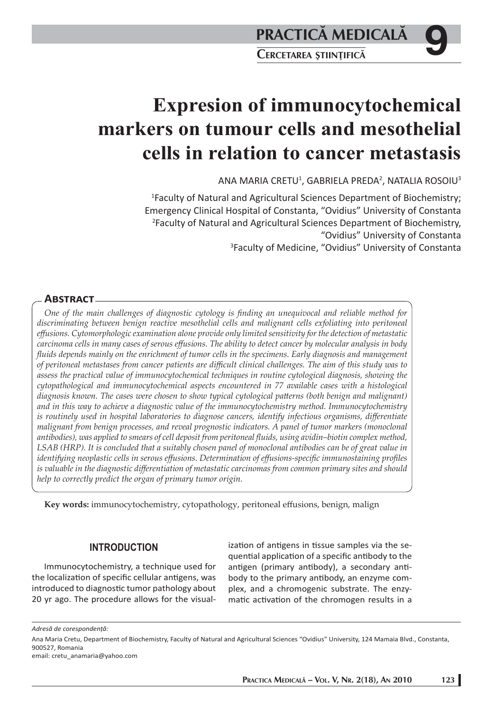# **Expresion of immunocytochemical markers on tumour cells and mesothelial cells in relation to cancer metastasis**

ANA MARIA CRETU $^1$ , GABRIELA PREDA $^2$ , NATALIA ROSOIU $^3$ 

1 Faculty of Natural and Agricultural Sciences Department of Biochemistry; Emergency Clinical Hospital of Constanta, "Ovidius" University of Constanta 2 Faculty of Natural and Agricultural Sciences Department of Biochemistry, "Ovidius" University of Constanta 3 Faculty of Medicine, "Ovidius" University of Constanta

# **ABSTRACT**

*One of the main challenges of diagnostic cytology is fi nding an unequivocal and reliable method for discriminating between benign reactive mesothelial cells and malignant cells exfoliating into peritoneal eff usions. Cytomorphologic examination alone provide only limited sensitivity for the detection of metastatic carcinoma cells in many cases of serous eff usions. The ability to detect cancer by molecular analysis in body fluids depends mainly on the enrichment of tumor cells in the specimens. Early diagnosis and management of peritoneal metastases from cancer patients are diffi cult clinical challenges. The aim of this study was to assess the practical value of immunocytochemical techniques in routine cytological diagnosis, showing the cytopathological and immunocytochemical aspects encountered in 77 available cases with a histological diagnosis known. The cases were chosen to show typical cytological patterns (both benign and malignant) and in this way to achieve a diagnostic value of the immunocytochemistry method. Immunocytochemistry is routinely used in hospital laboratories to diagnose cancers, identify infectious organisms, diff erentiate malignant from benign processes, and reveal prognostic indicators. A panel of tumor markers (monoclonal antibodies), was applied to smears of cell deposit from peritoneal fl uids, using avidin–biotin complex method, LSAB (HRP). It is concluded that a suitably chosen panel of monoclonal antibodies can be of great value in identifying neoplastic cells in serous effusions. Determination of effusions-specific immunostaining profiles is valuable in the diagnostic diff erentiation of metastatic carcinomas from common primary sites and should help to correctly predict the organ of primary tumor origin.* 

Key words: immunocytochemistry, cytopathology, peritoneal effusions, benign, malign

# **INTRODUCTION**

Immunocytochemistry, a technique used for the localization of specific cellular antigens, was introduced to diagnostic tumor pathology about 20 yr ago. The procedure allows for the visualization of antigens in tissue samples via the sequential application of a specific antibody to the antigen (primary antibody), a secondary antibody to the primary antibody, an enzyme complex, and a chromogenic substrate. The enzymatic activation of the chromogen results in a

*Adresă de corespondenţă:* 

Ana Maria Cretu, Department of Biochemistry, Faculty of Natural and Agricultural Sciences "Ovidius" University, 124 Mamaia Blvd., Constanta, 900527, Romania

email: cretu\_anamaria@yahoo.com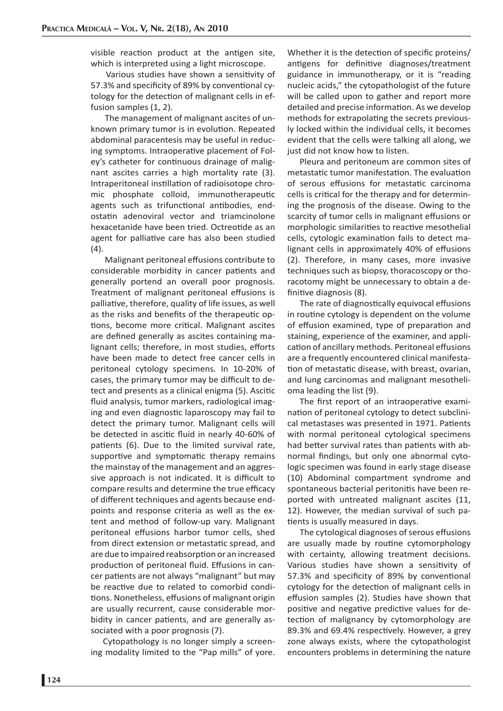visible reaction product at the antigen site, which is interpreted using a light microscope.

Various studies have shown a sensitivity of 57.3% and specificity of 89% by conventional cytology for the detection of malignant cells in effusion samples  $(1, 2)$ .

 The management of malignant ascites of unknown primary tumor is in evolution. Repeated abdominal paracentesis may be useful in reducing symptoms. Intraoperative placement of Foley's catheter for continuous drainage of malignant ascites carries a high mortality rate (3). Intraperitoneal instillation of radioisotope chromic phosphate colloid, immunotherapeutic agents such as trifunctional antibodies, endostatin adenoviral vector and triamcinolone hexacetanide have been tried. Octreotide as an agent for palliative care has also been studied (4).

Malignant peritoneal effusions contribute to considerable morbidity in cancer patients and generally portend an overall poor prognosis. Treatment of malignant peritoneal effusions is palliative, therefore, quality of life issues, as well as the risks and benefits of the therapeutic options, become more critical. Malignant ascites are defined generally as ascites containing malignant cells; therefore, in most studies, efforts have been made to detect free cancer cells in peritoneal cytology specimens. In 10-20% of cases, the primary tumor may be difficult to detect and presents as a clinical enigma (5). Ascitic fluid analysis, tumor markers, radiological imaging and even diagnostic laparoscopy may fail to detect the primary tumor. Malignant cells will be detected in ascitic fluid in nearly 40-60% of patients (6). Due to the limited survival rate, supportive and symptomatic therapy remains the mainstay of the management and an aggressive approach is not indicated. It is difficult to compare results and determine the true efficacy of different techniques and agents because endpoints and response criteria as well as the extent and method of follow-up vary. Malignant peritoneal effusions harbor tumor cells, shed from direct extension or metastatic spread, and are due to impaired reabsorption or an increased production of peritoneal fluid. Effusions in cancer patients are not always "malignant" but may be reactive due to related to comorbid conditions. Nonetheless, effusions of malignant origin are usually recurrent, cause considerable morbidity in cancer patients, and are generally associated with a poor prognosis (7).

Cytopathology is no longer simply a screening modality limited to the "Pap mills" of yore. Whether it is the detection of specific proteins/ antigens for definitive diagnoses/treatment guidance in immunotherapy, or it is "reading nucleic acids," the cytopathologist of the future will be called upon to gather and report more detailed and precise information. As we develop methods for extrapolating the secrets previously locked within the individual cells, it becomes evident that the cells were talking all along, we just did not know how to listen.

Pleura and peritoneum are common sites of metastatic tumor manifestation. The evaluation of serous effusions for metastatic carcinoma cells is critical for the therapy and for determining the prognosis of the disease. Owing to the scarcity of tumor cells in malignant effusions or morphologic similarities to reactive mesothelial cells, cytologic examination fails to detect malignant cells in approximately 40% of effusions (2). Therefore, in many cases, more invasive techniques such as biopsy, thoracoscopy or thoracotomy might be unnecessary to obtain a definitive diagnosis (8).

The rate of diagnostically equivocal effusions in routine cytology is dependent on the volume of effusion examined, type of preparation and staining, experience of the examiner, and application of ancillary methods. Peritoneal effusions are a frequently encountered clinical manifestation of metastatic disease, with breast, ovarian, and lung carcinomas and malignant mesothelioma leading the list (9).

The first report of an intraoperative examination of peritoneal cytology to detect subclinical metastases was presented in 1971. Patients with normal peritoneal cytological specimens had better survival rates than patients with abnormal findings, but only one abnormal cytologic specimen was found in early stage disease (10) Abdominal compartment syndrome and spontaneous bacterial peritonitis have been reported with untreated malignant ascites (11, 12). However, the median survival of such patients is usually measured in days.

The cytological diagnoses of serous effusions are usually made by routine cytomorphology with certainty, allowing treatment decisions. Various studies have shown a sensitivity of 57.3% and specificity of 89% by conventional cytology for the detection of malignant cells in effusion samples (2). Studies have shown that positive and negative predictive values for detection of malignancy by cytomorphology are 89.3% and 69.4% respectively. However, a grey zone always exists, where the cytopathologist encounters problems in determining the nature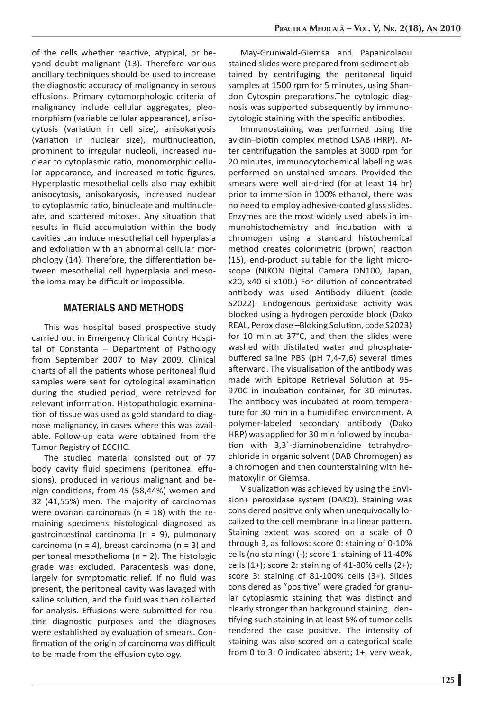of the cells whether reactive, atypical, or beyond doubt malignant (13). Therefore various ancillary techniques should be used to increase the diagnostic accuracy of malignancy in serous effusions. Primary cytomorphologic criteria of malignancy include cellular aggregates, pleomorphism (variable cellular appearance), anisocytosis (variation in cell size), anisokaryosis (variation in nuclear size), multinucleation, prominent to irregular nucleoli, increased nuclear to cytoplasmic ratio, monomorphic cellular appearance, and increased mitotic figures. Hyperplastic mesothelial cells also may exhibit anisocytosis, anisokaryosis, increased nuclear to cytoplasmic ratio, binucleate and multinucleate, and scattered mitoses. Any situation that results in fluid accumulation within the body cavities can induce mesothelial cell hyperplasia and exfoliation with an abnormal cellular morphology (14). Therefore, the differentiation between mesothelial cell hyperplasia and mesothelioma may be difficult or impossible.

#### **MATERIALS AND METHODS**

This was hospital based prospective study carried out in Emergency Clinical Contry Hospital of Constanta – Department of Pathology from September 2007 to May 2009. Clinical charts of all the patients whose peritoneal fluid samples were sent for cytological examination during the studied period, were retrieved for relevant information. Histopathologic examination of tissue was used as gold standard to diagnose malignancy, in cases where this was available. Follow-up data were obtained from the Tumor Registry of ECCHC.

The studied material consisted out of 77 body cavity fluid specimens (peritoneal effusions), produced in various malignant and benign conditions, from 45 (58,44%) women and 32 (41,55%) men. The majority of carcinomas were ovarian carcinomas ( $n = 18$ ) with the remaining specimens histological diagnosed as gastrointestinal carcinoma ( $n = 9$ ), pulmonary carcinoma ( $n = 4$ ), breast carcinoma ( $n = 3$ ) and peritoneal mesothelioma (n = 2). The histologic grade was excluded. Paracentesis was done, largely for symptomatic relief. If no fluid was present, the peritoneal cavity was lavaged with saline solution, and the fluid was then collected for analysis. Effusions were submitted for routine diagnostic purposes and the diagnoses were established by evaluation of smears. Confirmation of the origin of carcinoma was difficult to be made from the effusion cytology.

May-Grunwald-Giemsa and Papanicolaou stained slides were prepared from sediment obtained by centrifuging the peritoneal liquid samples at 1500 rpm for 5 minutes, using Shandon Cytospin preparations. The cytologic diagnosis was supported subsequently by immunocytologic staining with the specific antibodies.

Immunostaining was performed using the avidin-biotin complex method LSAB (HRP). After centrifugation the samples at 3000 rpm for 20 minutes, immunocytochemical labelling was performed on unstained smears. Provided the smears were well air-dried (for at least 14 hr) prior to immersion in 100% ethanol, there was no need to employ adhesive-coated glass slides. Enzymes are the most widely used labels in immunohistochemistry and incubation with a chromogen using a standard histochemical method creates colorimetric (brown) reaction (15), end-product suitable for the light microscope (NIKON Digital Camera DN100, Japan, x20, x40 si x100.) For dilution of concentrated antibody was used Antibody diluent (code S2022). Endogenous peroxidase activity was blocked using a hydrogen peroxide block (Dako REAL, Peroxidase -Bloking Solution, code S2023) for 10 min at 37°C, and then the slides were washed with distilated water and phosphatebuffered saline PBS (pH  $7,4-7,6$ ) several times afterward. The visualisation of the antibody was made with Epitope Retrieval Solution at 95-970C in incubation container, for 30 minutes. The antibody was incubated at room temperature for 30 min in a humidified environment. A polymer-labeled secondary antibody (Dako HRP) was applied for 30 min followed by incubation with 3,3`-diaminobenzidine tetrahydrochloride in organic solvent (DAB Chromogen) as a chromogen and then counterstaining with hematoxylin or Giemsa.

Visualization was achieved by using the EnVision+ peroxidase system (DAKO). Staining was considered positive only when unequivocally localized to the cell membrane in a linear pattern. Staining extent was scored on a scale of 0 through 3, as follows: score 0: staining of 0-10% cells (no staining) (-); score 1: staining of 11-40% cells  $(1+)$ ; score 2: staining of 41-80% cells  $(2+)$ ; score 3: staining of 81-100% cells (3+). Slides considered as "positive" were graded for granular cytoplasmic staining that was distinct and clearly stronger than background staining. Identifying such staining in at least 5% of tumor cells rendered the case positive. The intensity of staining was also scored on a categorical scale from 0 to 3: 0 indicated absent; 1+, very weak,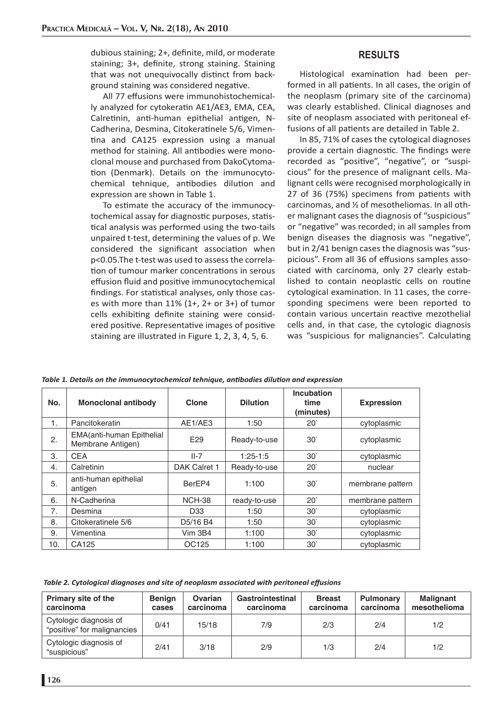dubious staining; 2+, definite, mild, or moderate staining; 3+, definite, strong staining. Staining that was not unequivocally distinct from background staining was considered negative.

All 77 effusions were immunohistochemically analyzed for cytokeratin AE1/AE3, EMA, CEA, Calretinin, anti-human epithelial antigen, N-Cadherina, Desmina, Citokeratinele 5/6, Vimentina and CA125 expression using a manual method for staining. All antibodies were monoclonal mouse and purchased from DakoCytomation (Denmark). Details on the immunocytochemical tehnique, antibodies dilution and expression are shown in Table 1.

To estimate the accuracy of the immunocytochemical assay for diagnostic purposes, statistical analysis was performed using the two-tails unpaired t-test, determining the values of p. We considered the significant association when p<0.05.The t-test was used to assess the correlation of tumour marker concentrations in serous effusion fluid and positive immunocytochemical findings. For statistical analyses, only those cases with more than 11% (1+, 2+ or 3+) of tumor cells exhibiting definite staining were considered positive. Representative images of positive staining are illustrated in Figure 1, 2, 3, 4, 5, 6.

## **RESULTS**

Histological examination had been performed in all patients. In all cases, the origin of the neoplasm (primary site of the carcinoma) was clearly established. Clinical diagnoses and site of neoplasm associated with peritoneal effusions of all patients are detailed in Table 2.

In 85, 71% of cases the cytological diagnoses provide a certain diagnostic. The findings were recorded as "positive", "negative", or "suspicious" for the presence of malignant cells. Malignant cells were recognised morphologically in 27 of 36 (75%) specimens from patients with carcinomas, and ½ of mesotheliomas. In all other malignant cases the diagnosis of "suspicious" or "negative" was recorded; in all samples from benign diseases the diagnosis was "negative", but in 2/41 benign cases the diagnosis was "suspicious". From all 36 of effusions samples associated with carcinoma, only 27 clearly established to contain neoplastic cells on routine cytological examination. In 11 cases, the corresponding specimens were been reported to contain various uncertain reactive mezothelial cells and, in that case, the cytologic diagnosis was "suspicious for malignancies". Calculating

| No. | <b>Monoclonal antibody</b>                     | <b>Clone</b>                      | <b>Dilution</b> | <b>Incubation</b><br>time<br>(minutes) | <b>Expression</b> |  |
|-----|------------------------------------------------|-----------------------------------|-----------------|----------------------------------------|-------------------|--|
| 1.  | Pancitokeratin                                 | AE1/AE3                           | 1:50            | $20^{\circ}$                           | cytoplasmic       |  |
| 2.  | EMA(anti-human Epithelial<br>Membrane Antigen) | E <sub>29</sub>                   | Ready-to-use    | 30 <sup>°</sup>                        | cytoplasmic       |  |
| 3.  | <b>CEA</b>                                     | $II-7$                            | $1:25-1:5$      | 30 <sup>°</sup>                        | cytoplasmic       |  |
| 4.  | Calretinin                                     | DAK Calret 1                      | Ready-to-use    | 20'                                    | nuclear           |  |
| 5.  | anti-human epithelial<br>antigen               | BerEP4                            | 1:100           | 30 <sup>°</sup>                        | membrane pattern  |  |
| 6.  | N-Cadherina                                    | <b>NCH-38</b>                     | ready-to-use    | 20 <sup>°</sup>                        | membrane pattern  |  |
| 7.  | Desmina                                        | D33                               | 1:50            | 30 <sup>°</sup>                        | cytoplasmic       |  |
| 8.  | Citokeratinele 5/6                             | D <sub>5</sub> /16 B <sub>4</sub> | 1:50            | 30 <sup>°</sup>                        | cytoplasmic       |  |
| 9.  | Vimentina                                      | Vim 3B4                           | 1:100           | 30 <sup>°</sup>                        | cytoplasmic       |  |
| 10. | CA125                                          | OC125                             | 1:100           | 30 <sup>°</sup>                        | cytoplasmic       |  |

*Table 1. Details on the immunocytochemical tehnique, anti bodies diluti on and expression*

 *Table 2. Cytological diagnoses and site of neoplasm associated with peritoneal eff usions*

| Primary site of the<br>carcinoma                      | <b>Benign</b><br>cases | Ovarian<br>carcinoma | Gastrointestinal<br>carcinoma | <b>Breast</b><br>carcinoma | <b>Pulmonary</b><br>carcinoma | Malignant<br>mesothelioma |
|-------------------------------------------------------|------------------------|----------------------|-------------------------------|----------------------------|-------------------------------|---------------------------|
| Cytologic diagnosis of<br>"positive" for malignancies | 0/41                   | 15/18                | 7/9                           | 2/3                        | 2/4                           | 1/2                       |
| Cytologic diagnosis of<br>"suspicious"                | 2/41                   | 3/18                 | 2/9                           | 1/3                        | 2/4                           | 1/2                       |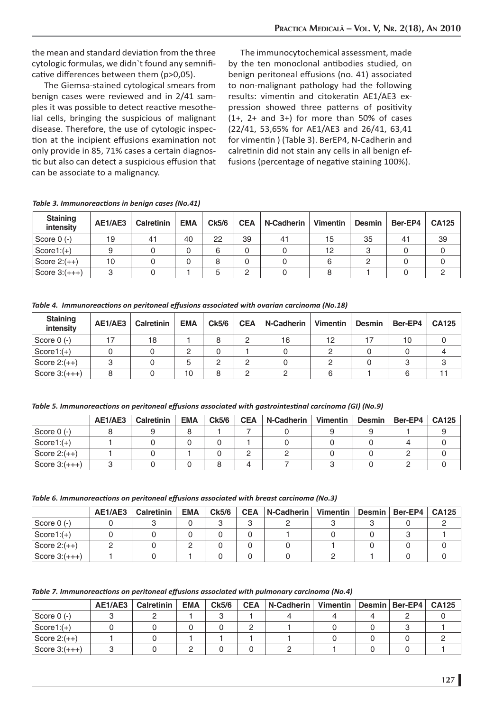the mean and standard deviation from the three cytologic formulas, we didn't found any semnificative differences between them (p>0,05).

The Giemsa-stained cytological smears from benign cases were reviewed and in 2/41 samples it was possible to detect reactive mesothelial cells, bringing the suspicious of malignant disease. Therefore, the use of cytologic inspection at the incipient effusions examination not only provide in 85, 71% cases a certain diagnostic but also can detect a suspicious effusion that can be associate to a malignancy.

The immunocytochemical assessment, made by the ten monoclonal antibodies studied, on benign peritoneal effusions (no. 41) associated to non-malignant pathology had the following results: vimentin and citokeratin AE1/AE3 expression showed three patterns of positivity  $(1+, 2+$  and  $3+)$  for more than 50% of cases (22/41, 53,65% for AE1/AE3 and 26/41, 63,41 for vimentin ) (Table 3). BerEP4, N-Cadherin and calretinin did not stain any cells in all benign effusions (percentage of negative staining 100%).

| Table 3. Immunoreactions in benign cases (No.41) |  |  |
|--------------------------------------------------|--|--|
|--------------------------------------------------|--|--|

| <b>Staining</b><br>intensity | AE1/AE3 | Calretinin | <b>EMA</b> | Ck5/6 | <b>CEA</b> | N-Cadherin | Vimentin | <b>Desmin</b> | Ber-EP4 | <b>CA125</b> |
|------------------------------|---------|------------|------------|-------|------------|------------|----------|---------------|---------|--------------|
| Score $0$ (-)                | 19      | 41         | 40         | 22    | 39         | 41         | 15       | 35            | 41      | 39           |
| $Score1:(+)$                 |         |            |            | 6     | 0          |            | 12       |               |         |              |
| Score $2:(++)$               | 10      |            |            | 8     | 0          |            | 6        |               |         |              |
| Score $3:(++)$               | $\circ$ |            |            | 5     | ◠          |            |          |               |         |              |

*Table 4. Immunoreacti ons on peritoneal eff usions associated with ovarian carcinoma (No.18)*

| <b>Staining</b><br>intensity | AE1/AE3 | <b>Calretinin</b> | <b>EMA</b> | Ck5/6 | <b>CEA</b> | N-Cadherin | Vimentin | <b>Desmin</b> | Ber-EP4 | CA125 |
|------------------------------|---------|-------------------|------------|-------|------------|------------|----------|---------------|---------|-------|
| Score $0$ (-)                |         | 18                |            | 8     | っ          | 16         | 12       |               | 10      |       |
| $Score1:(+)$                 |         |                   |            |       |            |            |          |               |         |       |
| Score $2:(++)$               |         |                   |            |       | C          |            |          |               |         |       |
| Score $3:(++)$               | 8       |                   | 10         | 8     | ◠          |            |          |               |         |       |

*Table 5. Immunoreacti ons on peritoneal eff usions associated with gastrointesti nal carcinoma (GI) (No.9)*

|                          | AE1/AE3 | Calretinin | <b>EMA</b> | <b>Ck5/6</b> | <b>CEA</b> | N-Cadherin | Vimentin | <b>Desmin</b> | $Ber-EP4$ | <b>CA125</b> |
|--------------------------|---------|------------|------------|--------------|------------|------------|----------|---------------|-----------|--------------|
| Score 0 (-)              |         |            |            |              |            |            |          |               |           |              |
| $Score1:(+)$             |         |            |            |              |            |            |          |               |           |              |
| $\vert$ Score 2: $(++)$  |         |            |            |              |            |            |          |               |           |              |
| $\vert$ Score 3: $(+++)$ |         |            |            |              |            |            |          |               |           |              |

*Table 6. Immunoreacti ons on peritoneal eff usions associated with breast carcinoma (No.3)*

|                 | AE1/AE3 | <b>Calretinin</b> | <b>EMA</b> | Ck5/6 | <b>CEA</b> | N-Cadherin I | Vimentin | Desmin   Ber-EP4   CA125 |  |
|-----------------|---------|-------------------|------------|-------|------------|--------------|----------|--------------------------|--|
| Score 0 (-)     |         |                   |            |       |            |              |          |                          |  |
| $Score1:(+)$    |         |                   |            |       |            |              |          |                          |  |
| Score $2:(++)$  |         |                   |            |       |            |              |          |                          |  |
| Score $3:(+++)$ |         |                   |            |       |            |              |          |                          |  |

*Table 7. Immunoreacti ons on peritoneal eff usions associated with pulmonary carcinoma (No.4)*

|                 | AE1/AE3 | <b>Calretinin</b> | <b>EMA</b> | Ck5/6 | <b>CEA</b> | N-Cadherin I | Vimentin   Desmin   Ber-EP4 |  | <b>CA125</b> |
|-----------------|---------|-------------------|------------|-------|------------|--------------|-----------------------------|--|--------------|
| Score $0$ (-)   |         |                   |            |       |            |              |                             |  |              |
| $Score1:(+)$    |         |                   |            |       |            |              |                             |  |              |
| Score $2:(++)$  |         |                   |            |       |            |              |                             |  |              |
| Score $3:(+++)$ |         |                   |            |       |            |              |                             |  |              |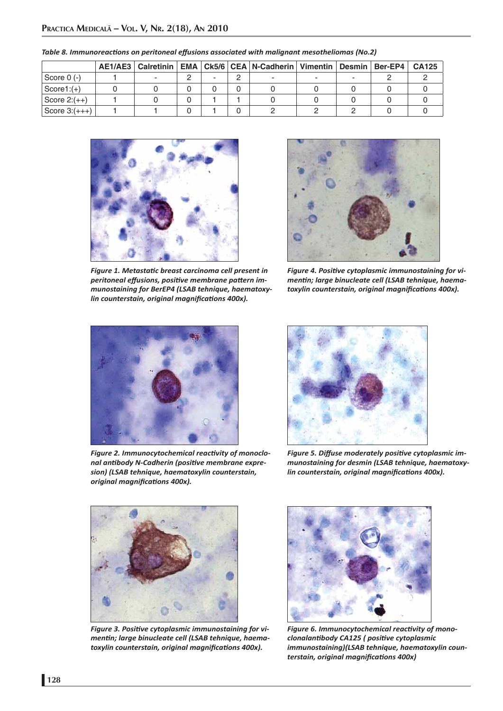|                |  |  | AE1/AE3   Calretinin   EMA   Ck5/6   CEA   N-Cadherin   Vimentin   Desmin   Ber-EP4 |  | <b>CA125</b> |
|----------------|--|--|-------------------------------------------------------------------------------------|--|--------------|
| Score 0 (-)    |  |  |                                                                                     |  |              |
| $Score1:(+)$   |  |  |                                                                                     |  |              |
| Score $2:(++)$ |  |  |                                                                                     |  |              |
| Score $3:(++)$ |  |  |                                                                                     |  |              |

*Table 8. Immunoreacti ons on peritoneal eff usions associated with malignant mesotheliomas (No.2)*



*Figure 1. Metastati c breast carcinoma cell present in peritoneal eff usions, positi ve membrane patt ern immunostaining for BerEP4 (LSAB tehnique, haematoxylin counterstain, original magnifications 400x).* 



Figure 4. Positive cytoplasmic immunostaining for vi*menti n; large binucleate cell (LSAB tehnique, haematoxylin counterstain, original magnifications 400x).* 



**Figure 2. Immunocytochemical reactivity of monoclo***nal anti body N-Cadherin (positi ve membrane expresion) (LSAB tehnique, haematoxylin counterstain, original magnifi cati ons 400x).*



**Figure 5. Diffuse moderately positive cytoplasmic im***munostaining for desmin (LSAB tehnique, haematoxylin counterstain, original magnifications 400x).* 



Figure 3. Positive cytoplasmic immunostaining for vi*menti n; large binucleate cell (LSAB tehnique, haematoxylin counterstain, original magnifications 400x).* 



Figure 6. Immunocytochemical reactivity of mono*clonalanti body CA125 ( positi ve cytoplasmic immunostaining)(LSAB tehnique, haematoxylin counterstain, original magnifi cati ons 400x)*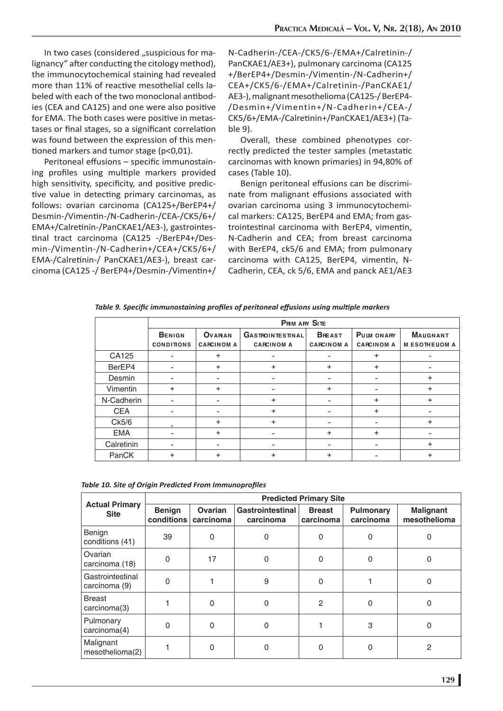In two cases (considered "suspicious for malignancy" after conducting the citology method), the immunocytochemical staining had revealed more than 11% of reactive mesothelial cells labeled with each of the two monoclonal antibodies (CEA and CA125) and one were also positive for EMA. The both cases were positive in metastases or final stages, so a significant correlation was found between the expression of this mentioned markers and tumor stage ( $p < 0.01$ ).

Peritoneal effusions - specific immunostaining profiles using multiple markers provided high sensitivity, specificity, and positive predictive value in detecting primary carcinomas, as follows: ovarian carcinoma (CA125+/BerEP4+/ Desmin-/Vimentin-/N-Cadherin-/CEA-/CK5/6+/ EMA+/Calretinin-/PanCKAE1/AE3-), gastrointestinal tract carcinoma (CA125 -/BerEP4+/Desmin-/Vimentin-/N-Cadherin+/CEA+/CK5/6+/ EMA-/Calretinin-/ PanCKAE1/AE3-), breast carcinoma (CA125 -/ BerEP4+/Desmin-/Vimentin+/ N-Cadherin-/CEA-/CK5/6-/EMA+/Calretinin-/ PanCKAE1/AE3+), pulmonary carcinoma (CA125 +/BerEP4+/Desmin-/Vimentin-/N-Cadherin+/ CEA+/CK5/6-/EMA+/Calretinin-/PanCKAE1/ AE3-), malignant mesothelioma (CA125-/ BerEP4- /Desmin+/Vimentin+/N-Cadherin+/CEA-/ CK5/6+/EMA-/Calretinin+/PanCKAE1/AE3+) (Table 9).

Overall, these combined phenotypes correctly predicted the tester samples (metastatic carcinomas with known primaries) in 94,80% of cases (Table 10).

Benign peritoneal effusions can be discriminate from malignant effusions associated with ovarian carcinoma using 3 immunocytochemical markers: CA125, BerEP4 and EMA; from gastrointestinal carcinoma with BerEP4, vimentin, N-Cadherin and CEA; from breast carcinoma with BerEP4, ck5/6 and EMA; from pulmonary carcinoma with CA125, BerEP4, vimentin, N-Cadherin, CEA, ck 5/6, EMA and panck AE1/AE3

| Table 9. Specific immunostaining profiles of peritoneal effusions using multiple markers |  |
|------------------------------------------------------------------------------------------|--|
|------------------------------------------------------------------------------------------|--|

|            |                   |                   | <b>PRM ARY SITE</b>     |                   |                   |                      |
|------------|-------------------|-------------------|-------------------------|-------------------|-------------------|----------------------|
|            | <b>BENIGN</b>     | <b>OVARIAN</b>    | <b>GASTROINTESTINAL</b> | <b>BREAST</b>     | PULM ON ARY       | <b>MAUGNANT</b>      |
|            | <b>CONDITIONS</b> | <b>CARCINOM A</b> | <b>CARCINOM A</b>       | <b>CARCINOM A</b> | <b>CARCINOM A</b> | <b>MESOTHELIOM A</b> |
| CA125      |                   | ÷                 | -                       | ۰                 | $\pm$             | -                    |
| BerEP4     | -                 | ÷                 | ÷                       | $\ddot{}$         | $\ddot{}$         |                      |
| Desmin     |                   |                   |                         |                   |                   | ÷                    |
| Vimentin   | ÷                 | ÷                 |                         | ÷                 |                   | ÷                    |
| N-Cadherin |                   | $\overline{a}$    | ÷                       | ٠                 | ÷                 | ÷                    |
| <b>CEA</b> |                   |                   | ÷                       |                   | ÷                 |                      |
| Ck5/6      |                   | +                 | ÷                       |                   |                   | $\ddot{}$            |
| <b>EMA</b> | -                 | ÷                 | ٠                       | $\pm$             | $\pm$             |                      |
| Calretinin |                   |                   |                         |                   |                   | ÷                    |
| PanCK      | +                 | +                 | ÷                       | ٠                 |                   | ÷                    |

| <b>Actual Primary</b><br><b>Site</b> | <b>Predicted Primary Site</b> |                      |                               |                            |                        |                                  |
|--------------------------------------|-------------------------------|----------------------|-------------------------------|----------------------------|------------------------|----------------------------------|
|                                      | <b>Benign</b><br>conditions   | Ovarian<br>carcinoma | Gastrointestinal<br>carcinoma | <b>Breast</b><br>carcinoma | Pulmonary<br>carcinoma | <b>Malignant</b><br>mesothelioma |
| Benign<br>conditions (41)            | 39                            | $\Omega$             | 0                             | 0                          | 0                      | 0                                |
| Ovarian<br>carcinoma (18)            | 0                             | 17                   | 0                             | 0                          | $\Omega$               | 0                                |
| Gastrointestinal<br>carcinoma (9)    | ი                             |                      | 9                             |                            |                        | 0                                |
| <b>Breast</b><br>carcinoma(3)        |                               | $\Omega$             | 0                             | 2                          | O                      | 0                                |
| Pulmonary<br>carcinoma(4)            | ሰ                             | $\Omega$             | 0                             |                            | 3                      | 0                                |
| Malignant<br>mesothelioma(2)         |                               | U                    | 0                             | ი                          |                        | 2                                |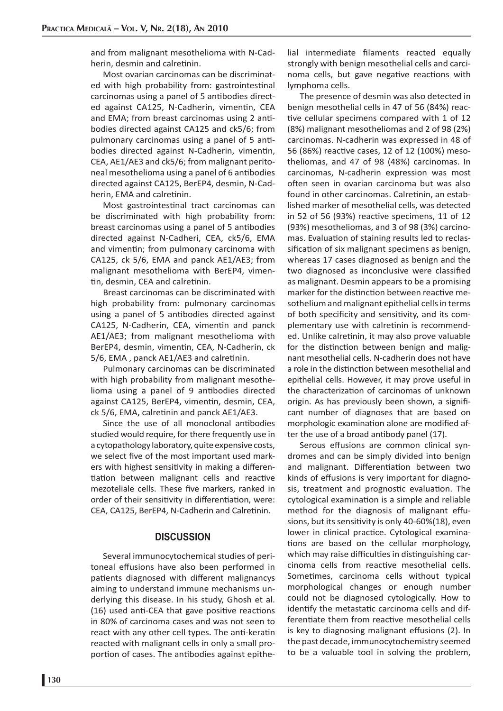and from malignant mesothelioma with N-Cadherin, desmin and calretinin.

Most ovarian carcinomas can be discriminated with high probability from: gastrointestinal carcinomas using a panel of 5 antibodies directed against CA125, N-Cadherin, vimentin, CEA and EMA; from breast carcinomas using 2 antibodies directed against CA125 and ck5/6; from pulmonary carcinomas using a panel of 5 antibodies directed against N-Cadherin, vimentin, CEA, AE1/AE3 and ck5/6; from malignant peritoneal mesothelioma using a panel of 6 antibodies directed against CA125, BerEP4, desmin, N-Cadherin, EMA and calretinin.

Most gastrointestinal tract carcinomas can be discriminated with high probability from: breast carcinomas using a panel of 5 antibodies directed against N-Cadheri, CEA, ck5/6, EMA and vimentin; from pulmonary carcinoma with CA125, ck 5/6, EMA and panck AE1/AE3; from malignant mesothelioma with BerEP4, vimentin, desmin, CEA and calretinin.

Breast carcinomas can be discriminated with high probability from: pulmonary carcinomas using a panel of 5 antibodies directed against CA125, N-Cadherin, CEA, vimentin and panck AE1/AE3; from malignant mesothelioma with BerEP4, desmin, vimentin, CEA, N-Cadherin, ck 5/6, EMA, panck AE1/AE3 and calretinin.

Pulmonary carcinomas can be discriminated with high probability from malignant mesothelioma using a panel of 9 antibodies directed against CA125, BerEP4, vimentin, desmin, CEA, ck 5/6, EMA, calretinin and panck AE1/AE3.

Since the use of all monoclonal antibodies studied would require, for there frequently use in a cytopathology laboratory, quite expensive costs, we select five of the most important used markers with highest sensitivity in making a differentiation between malignant cells and reactive mezoteliale cells. These five markers, ranked in order of their sensitivity in differentiation, were: CEA, CA125, BerEP4, N-Cadherin and Calretinin.

#### **DISCUSSION**

Several immunocytochemical studies of peritoneal effusions have also been performed in patients diagnosed with different malignancys aiming to understand immune mechanisms underlying this disease. In his study, Ghosh et al. (16) used anti-CEA that gave positive reactions in 80% of carcinoma cases and was not seen to react with any other cell types. The anti-keratin reacted with malignant cells in only a small proportion of cases. The antibodies against epithelial intermediate filaments reacted equally strongly with benign mesothelial cells and carcinoma cells, but gave negative reactions with lymphoma cells.

The presence of desmin was also detected in benign mesothelial cells in 47 of 56 (84%) reactive cellular specimens compared with 1 of 12 (8%) malignant mesotheliomas and 2 of 98 (2%) carcinomas. N-cadherin was expressed in 48 of 56 (86%) reactive cases, 12 of 12 (100%) mesotheliomas, and 47 of 98 (48%) carcinomas. In carcinomas, N-cadherin expression was most often seen in ovarian carcinoma but was also found in other carcinomas. Calretinin, an established marker of mesothelial cells, was detected in 52 of 56 (93%) reactive specimens, 11 of 12 (93%) mesotheliomas, and 3 of 98 (3%) carcinomas. Evaluation of staining results led to reclassification of six malignant specimens as benign, whereas 17 cases diagnosed as benign and the two diagnosed as inconclusive were classified as malignant. Desmin appears to be a promising marker for the distinction between reactive mesothelium and malignant epithelial cells in terms of both specificity and sensitivity, and its complementary use with calretinin is recommended. Unlike calretinin, it may also prove valuable for the distinction between benign and malignant mesothelial cells. N-cadherin does not have a role in the distinction between mesothelial and epithelial cells. However, it may prove useful in the characterization of carcinomas of unknown origin. As has previously been shown, a significant number of diagnoses that are based on morphologic examination alone are modified after the use of a broad antibody panel (17).

Serous effusions are common clinical syndromes and can be simply divided into benign and malignant. Differentiation between two kinds of effusions is very important for diagnosis, treatment and prognostic evaluation. The cytological examination is a simple and reliable method for the diagnosis of malignant effusions, but its sensitivity is only 40-60%(18), even lower in clinical practice. Cytological examinations are based on the cellular morphology, which may raise difficulties in distinguishing carcinoma cells from reactive mesothelial cells. Sometimes, carcinoma cells without typical morphological changes or enough number could not be diagnosed cytologically. How to identify the metastatic carcinoma cells and differentiate them from reactive mesothelial cells is key to diagnosing malignant effusions (2). In the past decade, immunocytochemistry seemed to be a valuable tool in solving the problem,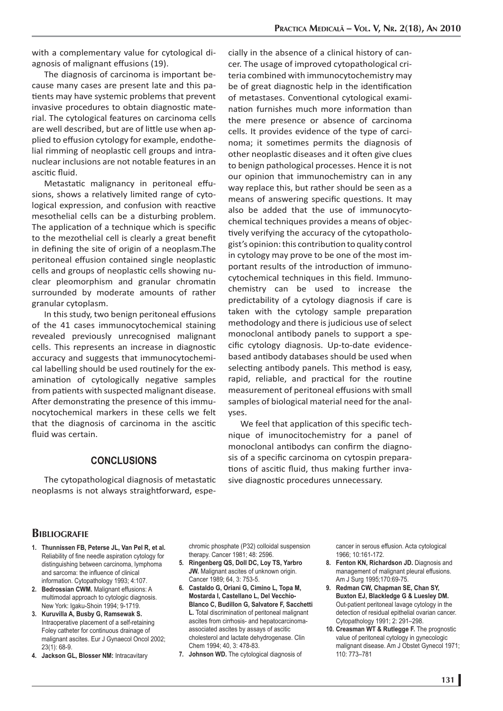with a complementary value for cytological diagnosis of malignant effusions (19).

The diagnosis of carcinoma is important because many cases are present late and this patients may have systemic problems that prevent invasive procedures to obtain diagnostic material. The cytological features on carcinoma cells are well described, but are of little use when applied to effusion cytology for example, endothelial rimming of neoplastic cell groups and intranuclear inclusions are not notable features in an ascitic fluid.

Metastatic malignancy in peritoneal effusions, shows a relatively limited range of cytological expression, and confusion with reactive mesothelial cells can be a disturbing problem. The application of a technique which is specific to the mezothelial cell is clearly a great benefit in defining the site of origin of a neoplasm.The peritoneal effusion contained single neoplastic cells and groups of neoplastic cells showing nuclear pleomorphism and granular chromatin surrounded by moderate amounts of rather granular cytoplasm.

In this study, two benign peritoneal effusions of the 41 cases immunocytochemical staining revealed previously unrecognised malignant cells. This represents an increase in diagnostic accuracy and suggests that immunocytochemical labelling should be used routinely for the examination of cytologically negative samples from patients with suspected malignant disease. After demonstrating the presence of this immunocytochemical markers in these cells we felt that the diagnosis of carcinoma in the ascitic fluid was certain.

### **CONCLUSIONS**

The cytopathological diagnosis of metastatic neoplasms is not always straightforward, especially in the absence of a clinical history of cancer. The usage of improved cytopathological criteria combined with immunocytochemistry may be of great diagnostic help in the identification of metastases. Conventional cytological examination furnishes much more information than the mere presence or absence of carcinoma cells. It provides evidence of the type of carcinoma; it sometimes permits the diagnosis of other neoplastic diseases and it often give clues to benign pathological processes. Hence it is not our opinion that immunochemistry can in any way replace this, but rather should be seen as a means of answering specific questions. It may also be added that the use of immunocytochemical techniques provides a means of objectively verifying the accuracy of the cytopathologist's opinion: this contribution to quality control in cytology may prove to be one of the most important results of the introduction of immunocytochemical techniques in this field. Immunochemistry can be used to increase the predictability of a cytology diagnosis if care is taken with the cytology sample preparation methodology and there is judicious use of select monoclonal antibody panels to support a specific cytology diagnosis. Up-to-date evidencebased antibody databases should be used when selecting antibody panels. This method is easy, rapid, reliable, and practical for the routine measurement of peritoneal effusions with small samples of biological material need for the analyses.

We feel that application of this specific technique of imunocitochemistry for a panel of monoclonal antibodys can confirm the diagnosis of a specific carcinoma on cytospin preparations of ascitic fluid, thus making further invasive diagnostic procedures unnecessary.

#### **BIBLIOGRAFIE**

- **Thunnissen FB, Peterse JL, Van Pel R, et al. 1.** Reliability of fine needle aspiration cytology for distinguishing between carcinoma, lymphoma and sarcoma: the influence of clinical information. Cytopathology 1993; 4:107.
- **Bedrossian CWM.** Malignant effusions: A **2.** multimodal approach to cytologic diagnosis. New York: Igaku-Shoin 1994; 9-1719.
- **Kuruvilla A, Busby G, Ramsewak S. 3.** Intraoperative placement of a self-retaining Foley catheter for continuous drainage of malignant ascites. Eur J Gynaecol Oncol 2002; 23(1): 68-9.
- **Jackson GL, Blosser NM:** Intracavitary **4.**

chromic phosphate (P32) colloidal suspension therapy. Cancer 1981; 48: 2596.

- **Ringenberg QS, Doll DC, Loy TS, Yarbro 5. JW.** Malignant ascites of unknown origin. Cancer 1989; 64, 3: 753-5.
- **Castaldo G, Oriani G, Cimino L, Topa M, 6. Mostarda I, Castellano L, Del Vecchio-Blanco C, Budillon G, Salvatore F, Sacchetti L.** Total discrimination of peritoneal malignant ascites from cirrhosis- and hepatocarcinomaassociated ascites by assays of ascitic cholesterol and lactate dehydrogenase. Clin Chem 1994; 40, 3: 478-83.
- **Johnson WD.** The cytological diagnosis of **7.**

cancer in serous effusion. Acta cytological 1966; 10:161-172.

- **Fenton KN, Richardson JD.** Diagnosis and **8.** management of malignant pleural effusions. Am J Surg 1995;170:69-75.
- **Redman CW, Chapman SE, Chan SY, 9. Buxton EJ, Blackledge G & Luesley DM.** Out-patient peritoneal lavage cytology in the detection of residual epithelial ovarian cancer. Cytopathology 1991; 2: 291–298.
- 10. Creasman WT & Rutlegge F. The prognostic value of peritoneal cytology in gynecologic malignant disease. Am J Obstet Gynecol 1971; 110: 773–781